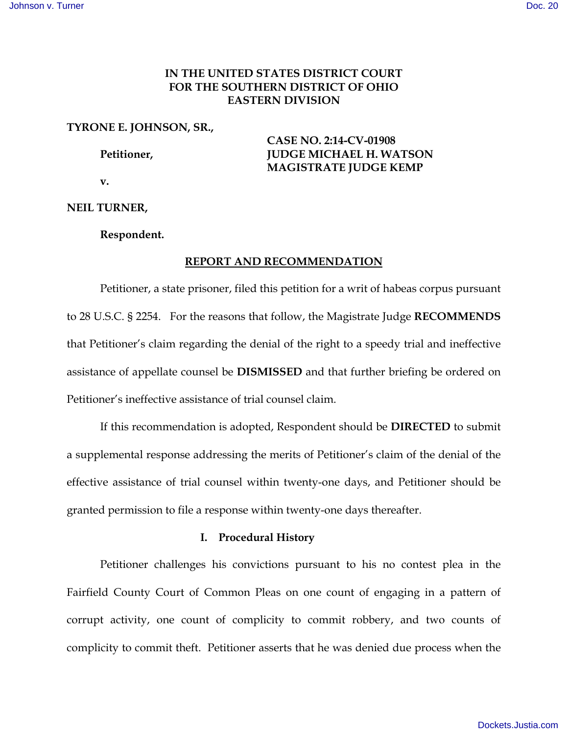# **IN THE UNITED STATES DISTRICT COURT FOR THE SOUTHERN DISTRICT OF OHIO EASTERN DIVISION**

# **TYRONE E. JOHNSON, SR.,**

 **CASE NO. 2:14-CV-01908 Petitioner, JUDGE MICHAEL H. WATSON MAGISTRATE JUDGE KEMP**

 **v.** 

**NEIL TURNER,** 

 **Respondent.** 

# **REPORT AND RECOMMENDATION**

 Petitioner, a state prisoner, filed this petition for a writ of habeas corpus pursuant to 28 U.S.C. § 2254. For the reasons that follow, the Magistrate Judge **RECOMMENDS** that Petitioner's claim regarding the denial of the right to a speedy trial and ineffective assistance of appellate counsel be **DISMISSED** and that further briefing be ordered on Petitioner's ineffective assistance of trial counsel claim.

 If this recommendation is adopted, Respondent should be **DIRECTED** to submit a supplemental response addressing the merits of Petitioner's claim of the denial of the effective assistance of trial counsel within twenty-one days, and Petitioner should be granted permission to file a response within twenty-one days thereafter.

### **I. Procedural History**

Petitioner challenges his convictions pursuant to his no contest plea in the Fairfield County Court of Common Pleas on one count of engaging in a pattern of corrupt activity, one count of complicity to commit robbery, and two counts of complicity to commit theft. Petitioner asserts that he was denied due process when the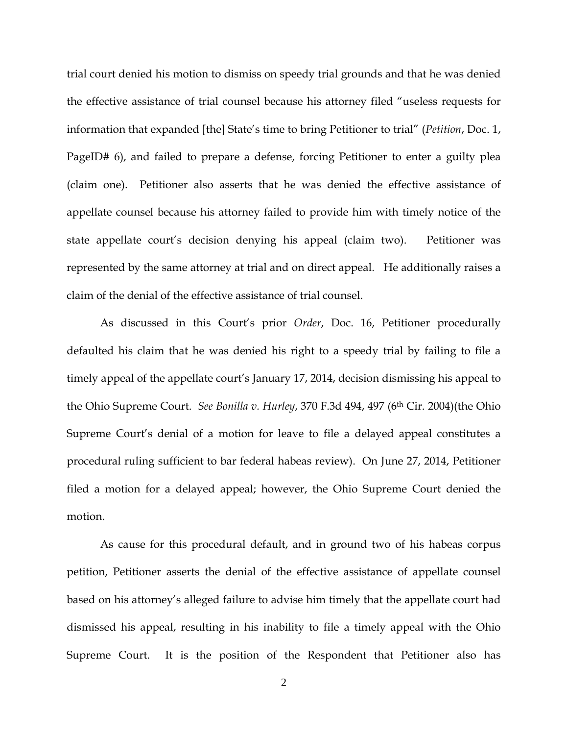trial court denied his motion to dismiss on speedy trial grounds and that he was denied the effective assistance of trial counsel because his attorney filed "useless requests for information that expanded [the] State's time to bring Petitioner to trial" (*Petition*, Doc. 1, PageID# 6), and failed to prepare a defense, forcing Petitioner to enter a guilty plea (claim one). Petitioner also asserts that he was denied the effective assistance of appellate counsel because his attorney failed to provide him with timely notice of the state appellate court's decision denying his appeal (claim two). Petitioner was represented by the same attorney at trial and on direct appeal. He additionally raises a claim of the denial of the effective assistance of trial counsel.

As discussed in this Court's prior *Order*, Doc. 16, Petitioner procedurally defaulted his claim that he was denied his right to a speedy trial by failing to file a timely appeal of the appellate court's January 17, 2014, decision dismissing his appeal to the Ohio Supreme Court. *See Bonilla v. Hurley*, 370 F.3d 494, 497 (6th Cir. 2004)(the Ohio Supreme Court's denial of a motion for leave to file a delayed appeal constitutes a procedural ruling sufficient to bar federal habeas review). On June 27, 2014, Petitioner filed a motion for a delayed appeal; however, the Ohio Supreme Court denied the motion.

As cause for this procedural default, and in ground two of his habeas corpus petition, Petitioner asserts the denial of the effective assistance of appellate counsel based on his attorney's alleged failure to advise him timely that the appellate court had dismissed his appeal, resulting in his inability to file a timely appeal with the Ohio Supreme Court. It is the position of the Respondent that Petitioner also has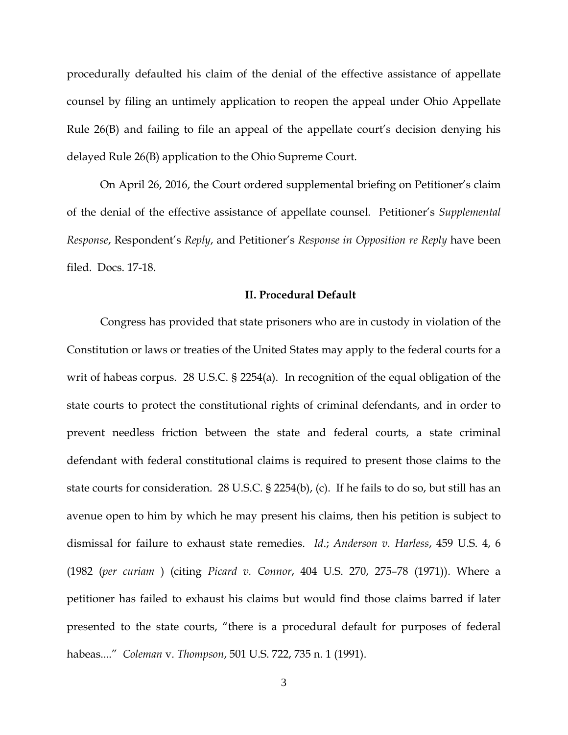procedurally defaulted his claim of the denial of the effective assistance of appellate counsel by filing an untimely application to reopen the appeal under Ohio Appellate Rule 26(B) and failing to file an appeal of the appellate court's decision denying his delayed Rule 26(B) application to the Ohio Supreme Court.

On April 26, 2016, the Court ordered supplemental briefing on Petitioner's claim of the denial of the effective assistance of appellate counsel. Petitioner's *Supplemental Response*, Respondent's *Reply*, and Petitioner's *Response in Opposition re Reply* have been filed. Docs. 17-18.

### **II. Procedural Default**

Congress has provided that state prisoners who are in custody in violation of the Constitution or laws or treaties of the United States may apply to the federal courts for a writ of habeas corpus. 28 U.S.C. § 2254(a). In recognition of the equal obligation of the state courts to protect the constitutional rights of criminal defendants, and in order to prevent needless friction between the state and federal courts, a state criminal defendant with federal constitutional claims is required to present those claims to the state courts for consideration. 28 U.S.C. § 2254(b), (c). If he fails to do so, but still has an avenue open to him by which he may present his claims, then his petition is subject to dismissal for failure to exhaust state remedies. *Id*.; *Anderson v. Harless*, 459 U.S. 4, 6 (1982 (*per curiam* ) (citing *Picard v. Connor*, 404 U.S. 270, 275–78 (1971)). Where a petitioner has failed to exhaust his claims but would find those claims barred if later presented to the state courts, "there is a procedural default for purposes of federal habeas...." *Coleman* v. *Thompson*, 501 U.S. 722, 735 n. 1 (1991).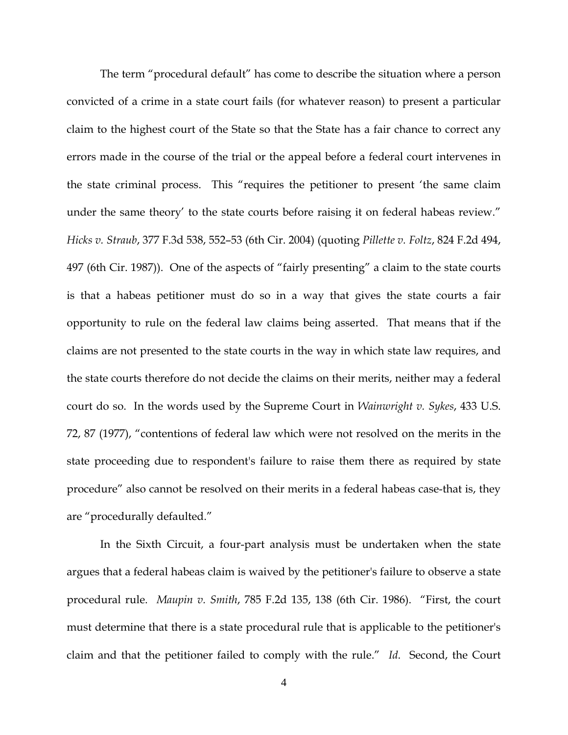The term "procedural default" has come to describe the situation where a person convicted of a crime in a state court fails (for whatever reason) to present a particular claim to the highest court of the State so that the State has a fair chance to correct any errors made in the course of the trial or the appeal before a federal court intervenes in the state criminal process. This "requires the petitioner to present 'the same claim under the same theory' to the state courts before raising it on federal habeas review." *Hicks v. Straub*, 377 F.3d 538, 552–53 (6th Cir. 2004) (quoting *Pillette v. Foltz*, 824 F.2d 494, 497 (6th Cir. 1987)). One of the aspects of "fairly presenting" a claim to the state courts is that a habeas petitioner must do so in a way that gives the state courts a fair opportunity to rule on the federal law claims being asserted. That means that if the claims are not presented to the state courts in the way in which state law requires, and the state courts therefore do not decide the claims on their merits, neither may a federal court do so. In the words used by the Supreme Court in *Wainwright v. Sykes*, 433 U.S. 72, 87 (1977), "contentions of federal law which were not resolved on the merits in the state proceeding due to respondent's failure to raise them there as required by state procedure" also cannot be resolved on their merits in a federal habeas case-that is, they are "procedurally defaulted."

In the Sixth Circuit, a four-part analysis must be undertaken when the state argues that a federal habeas claim is waived by the petitioner's failure to observe a state procedural rule. *Maupin v. Smith*, 785 F.2d 135, 138 (6th Cir. 1986). "First, the court must determine that there is a state procedural rule that is applicable to the petitioner's claim and that the petitioner failed to comply with the rule." *Id*. Second, the Court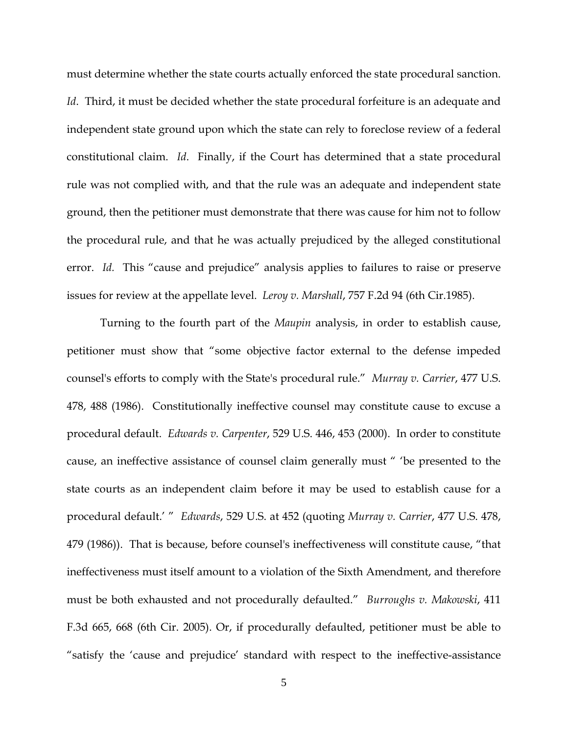must determine whether the state courts actually enforced the state procedural sanction. *Id*. Third, it must be decided whether the state procedural forfeiture is an adequate and independent state ground upon which the state can rely to foreclose review of a federal constitutional claim. *Id*. Finally, if the Court has determined that a state procedural rule was not complied with, and that the rule was an adequate and independent state ground, then the petitioner must demonstrate that there was cause for him not to follow the procedural rule, and that he was actually prejudiced by the alleged constitutional error. *Id.* This "cause and prejudice" analysis applies to failures to raise or preserve issues for review at the appellate level. *Leroy v. Marshall*, 757 F.2d 94 (6th Cir.1985).

Turning to the fourth part of the *Maupin* analysis, in order to establish cause, petitioner must show that "some objective factor external to the defense impeded counsel's efforts to comply with the State's procedural rule." *Murray v. Carrier*, 477 U.S. 478, 488 (1986). Constitutionally ineffective counsel may constitute cause to excuse a procedural default. *Edwards v. Carpenter*, 529 U.S. 446, 453 (2000). In order to constitute cause, an ineffective assistance of counsel claim generally must " 'be presented to the state courts as an independent claim before it may be used to establish cause for a procedural default.' " *Edwards*, 529 U.S. at 452 (quoting *Murray v. Carrier*, 477 U.S. 478, 479 (1986)). That is because, before counsel's ineffectiveness will constitute cause, "that ineffectiveness must itself amount to a violation of the Sixth Amendment, and therefore must be both exhausted and not procedurally defaulted." *Burroughs v. Makowski*, 411 F.3d 665, 668 (6th Cir. 2005). Or, if procedurally defaulted, petitioner must be able to "satisfy the 'cause and prejudice' standard with respect to the ineffective-assistance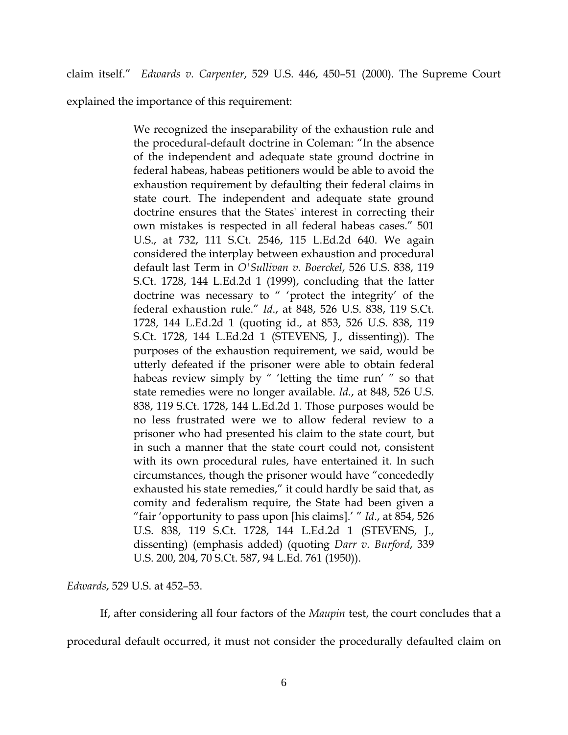claim itself." *Edwards v. Carpenter*, 529 U.S. 446, 450–51 (2000). The Supreme Court

explained the importance of this requirement:

We recognized the inseparability of the exhaustion rule and the procedural-default doctrine in Coleman: "In the absence of the independent and adequate state ground doctrine in federal habeas, habeas petitioners would be able to avoid the exhaustion requirement by defaulting their federal claims in state court. The independent and adequate state ground doctrine ensures that the States' interest in correcting their own mistakes is respected in all federal habeas cases." 501 U.S., at 732, 111 S.Ct. 2546, 115 L.Ed.2d 640. We again considered the interplay between exhaustion and procedural default last Term in *O'Sullivan v. Boerckel*, 526 U.S. 838, 119 S.Ct. 1728, 144 L.Ed.2d 1 (1999), concluding that the latter doctrine was necessary to " 'protect the integrity' of the federal exhaustion rule." *Id*., at 848, 526 U.S. 838, 119 S.Ct. 1728, 144 L.Ed.2d 1 (quoting id., at 853, 526 U.S. 838, 119 S.Ct. 1728, 144 L.Ed.2d 1 (STEVENS, J., dissenting)). The purposes of the exhaustion requirement, we said, would be utterly defeated if the prisoner were able to obtain federal habeas review simply by " 'letting the time run' " so that state remedies were no longer available. *Id.*, at 848, 526 U.S. 838, 119 S.Ct. 1728, 144 L.Ed.2d 1. Those purposes would be no less frustrated were we to allow federal review to a prisoner who had presented his claim to the state court, but in such a manner that the state court could not, consistent with its own procedural rules, have entertained it. In such circumstances, though the prisoner would have "concededly exhausted his state remedies," it could hardly be said that, as comity and federalism require, the State had been given a "fair 'opportunity to pass upon [his claims].' " *Id*., at 854, 526 U.S. 838, 119 S.Ct. 1728, 144 L.Ed.2d 1 (STEVENS, J., dissenting) (emphasis added) (quoting *Darr v. Burford*, 339 U.S. 200, 204, 70 S.Ct. 587, 94 L.Ed. 761 (1950)).

*Edwards*, 529 U.S. at 452–53.

If, after considering all four factors of the *Maupin* test, the court concludes that a procedural default occurred, it must not consider the procedurally defaulted claim on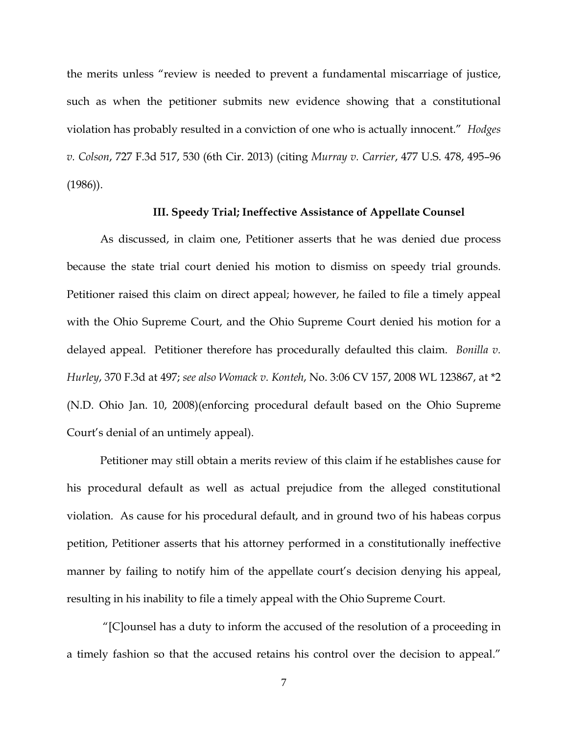the merits unless "review is needed to prevent a fundamental miscarriage of justice, such as when the petitioner submits new evidence showing that a constitutional violation has probably resulted in a conviction of one who is actually innocent." *Hodges v. Colson*, 727 F.3d 517, 530 (6th Cir. 2013) (citing *Murray v. Carrier*, 477 U.S. 478, 495–96 (1986)).

## **III. Speedy Trial; Ineffective Assistance of Appellate Counsel**

As discussed, in claim one, Petitioner asserts that he was denied due process because the state trial court denied his motion to dismiss on speedy trial grounds. Petitioner raised this claim on direct appeal; however, he failed to file a timely appeal with the Ohio Supreme Court, and the Ohio Supreme Court denied his motion for a delayed appeal. Petitioner therefore has procedurally defaulted this claim. *Bonilla v. Hurley*, 370 F.3d at 497; *see also Womack v. Konteh*, No. 3:06 CV 157, 2008 WL 123867, at \*2 (N.D. Ohio Jan. 10, 2008)(enforcing procedural default based on the Ohio Supreme Court's denial of an untimely appeal).

Petitioner may still obtain a merits review of this claim if he establishes cause for his procedural default as well as actual prejudice from the alleged constitutional violation. As cause for his procedural default, and in ground two of his habeas corpus petition, Petitioner asserts that his attorney performed in a constitutionally ineffective manner by failing to notify him of the appellate court's decision denying his appeal, resulting in his inability to file a timely appeal with the Ohio Supreme Court.

 "[C]ounsel has a duty to inform the accused of the resolution of a proceeding in a timely fashion so that the accused retains his control over the decision to appeal."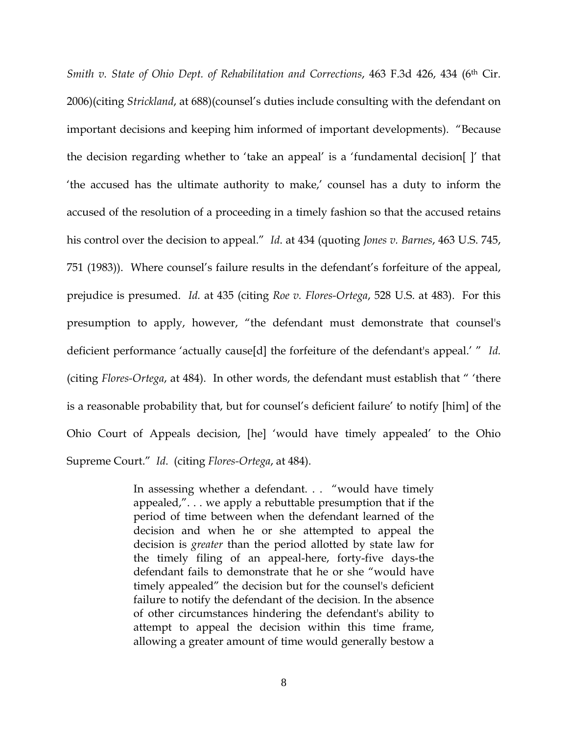*Smith v. State of Ohio Dept. of Rehabilitation and Corrections, 463 F.3d 426, 434 (6<sup>th</sup> Cir.* 2006)(citing *Strickland*, at 688)(counsel's duties include consulting with the defendant on important decisions and keeping him informed of important developments). "Because the decision regarding whether to 'take an appeal' is a 'fundamental decision[ ]' that 'the accused has the ultimate authority to make,' counsel has a duty to inform the accused of the resolution of a proceeding in a timely fashion so that the accused retains his control over the decision to appeal." *Id*. at 434 (quoting *Jones v. Barnes*, 463 U.S. 745, 751 (1983)). Where counsel's failure results in the defendant's forfeiture of the appeal, prejudice is presumed. *Id.* at 435 (citing *Roe v. Flores-Ortega*, 528 U.S. at 483). For this presumption to apply, however, "the defendant must demonstrate that counsel's deficient performance 'actually cause[d] the forfeiture of the defendant's appeal.' " *Id.* (citing *Flores-Ortega*, at 484). In other words, the defendant must establish that " 'there is a reasonable probability that, but for counsel's deficient failure' to notify [him] of the Ohio Court of Appeals decision, [he] 'would have timely appealed' to the Ohio Supreme Court." *Id*. (citing *Flores-Ortega*, at 484).

> In assessing whether a defendant. . . "would have timely appealed,". . . we apply a rebuttable presumption that if the period of time between when the defendant learned of the decision and when he or she attempted to appeal the decision is *greater* than the period allotted by state law for the timely filing of an appeal-here, forty-five days-the defendant fails to demonstrate that he or she "would have timely appealed" the decision but for the counsel's deficient failure to notify the defendant of the decision. In the absence of other circumstances hindering the defendant's ability to attempt to appeal the decision within this time frame, allowing a greater amount of time would generally bestow a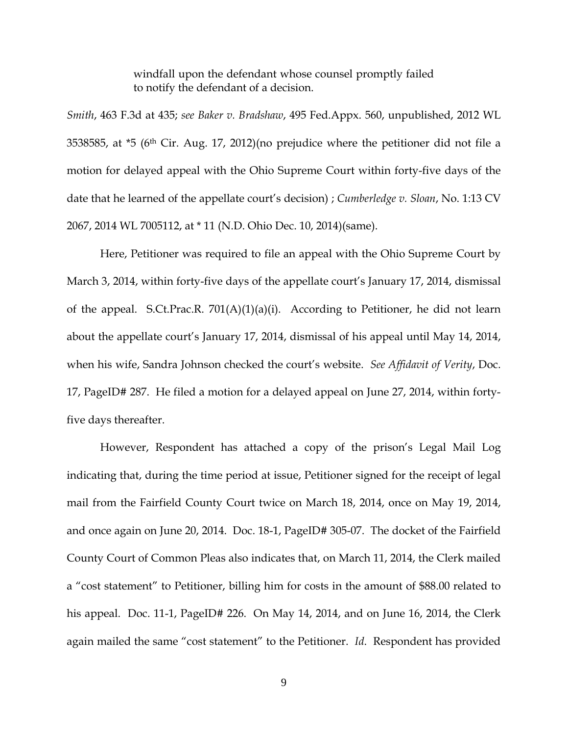windfall upon the defendant whose counsel promptly failed to notify the defendant of a decision.

*Smith*, 463 F.3d at 435; *see Baker v. Bradshaw*, 495 Fed.Appx. 560, unpublished, 2012 WL 3538585, at \*5 (6th Cir. Aug. 17, 2012)(no prejudice where the petitioner did not file a motion for delayed appeal with the Ohio Supreme Court within forty-five days of the date that he learned of the appellate court's decision) ; *Cumberledge v. Sloan*, No. 1:13 CV 2067, 2014 WL 7005112, at \* 11 (N.D. Ohio Dec. 10, 2014)(same).

Here, Petitioner was required to file an appeal with the Ohio Supreme Court by March 3, 2014, within forty-five days of the appellate court's January 17, 2014, dismissal of the appeal. S.Ct.Prac.R. 701(A)(1)(a)(i). According to Petitioner, he did not learn about the appellate court's January 17, 2014, dismissal of his appeal until May 14, 2014, when his wife, Sandra Johnson checked the court's website. *See Affidavit of Verity*, Doc. 17, PageID# 287. He filed a motion for a delayed appeal on June 27, 2014, within fortyfive days thereafter.

However, Respondent has attached a copy of the prison's Legal Mail Log indicating that, during the time period at issue, Petitioner signed for the receipt of legal mail from the Fairfield County Court twice on March 18, 2014, once on May 19, 2014, and once again on June 20, 2014. Doc. 18-1, PageID# 305-07. The docket of the Fairfield County Court of Common Pleas also indicates that, on March 11, 2014, the Clerk mailed a "cost statement" to Petitioner, billing him for costs in the amount of \$88.00 related to his appeal. Doc. 11-1, PageID# 226. On May 14, 2014, and on June 16, 2014, the Clerk again mailed the same "cost statement" to the Petitioner. *Id*. Respondent has provided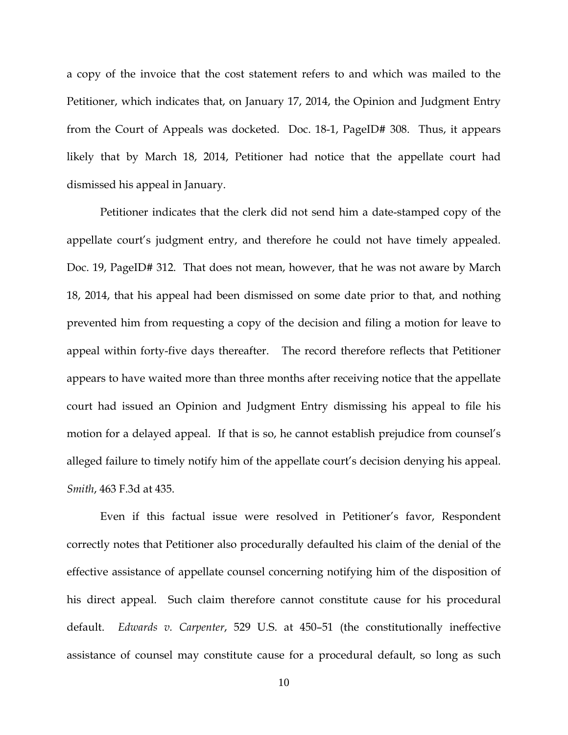a copy of the invoice that the cost statement refers to and which was mailed to the Petitioner, which indicates that, on January 17, 2014, the Opinion and Judgment Entry from the Court of Appeals was docketed. Doc. 18-1, PageID# 308. Thus, it appears likely that by March 18, 2014, Petitioner had notice that the appellate court had dismissed his appeal in January.

Petitioner indicates that the clerk did not send him a date-stamped copy of the appellate court's judgment entry, and therefore he could not have timely appealed. Doc. 19, PageID# 312. That does not mean, however, that he was not aware by March 18, 2014, that his appeal had been dismissed on some date prior to that, and nothing prevented him from requesting a copy of the decision and filing a motion for leave to appeal within forty-five days thereafter. The record therefore reflects that Petitioner appears to have waited more than three months after receiving notice that the appellate court had issued an Opinion and Judgment Entry dismissing his appeal to file his motion for a delayed appeal. If that is so, he cannot establish prejudice from counsel's alleged failure to timely notify him of the appellate court's decision denying his appeal. *Smith*, 463 F.3d at 435.

Even if this factual issue were resolved in Petitioner's favor, Respondent correctly notes that Petitioner also procedurally defaulted his claim of the denial of the effective assistance of appellate counsel concerning notifying him of the disposition of his direct appeal. Such claim therefore cannot constitute cause for his procedural default. *Edwards v. Carpenter*, 529 U.S. at 450–51 (the constitutionally ineffective assistance of counsel may constitute cause for a procedural default, so long as such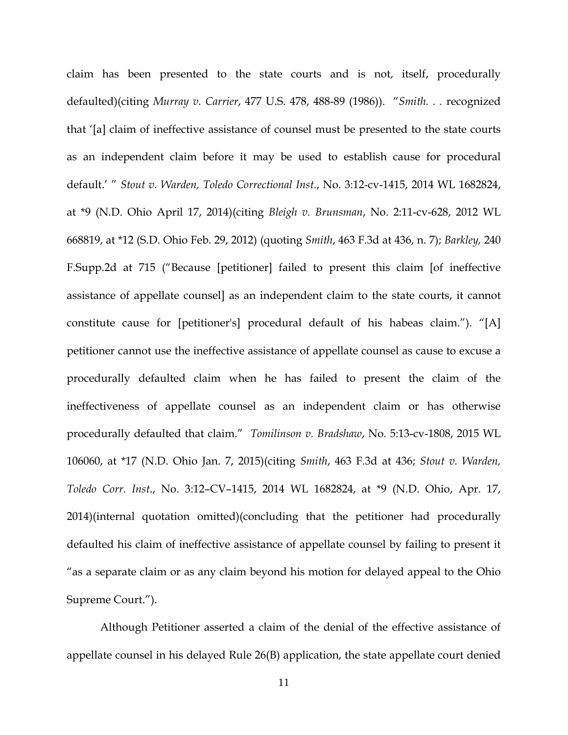claim has been presented to the state courts and is not, itself, procedurally defaulted)(citing *Murray v. Carrier*, 477 U.S. 478, 488-89 (1986)). "*Smith. . .* recognized that '[a] claim of ineffective assistance of counsel must be presented to the state courts as an independent claim before it may be used to establish cause for procedural default.' " *Stout v. Warden, Toledo Correctional Inst*., No. 3:12-cv-1415, 2014 WL 1682824, at \*9 (N.D. Ohio April 17, 2014)(citing *Bleigh v. Brunsman*, No. 2:11-cv-628, 2012 WL 668819, at \*12 (S.D. Ohio Feb. 29, 2012) (quoting *Smith*, 463 F.3d at 436, n. 7); *Barkley,* 240 F.Supp.2d at 715 ("Because [petitioner] failed to present this claim [of ineffective assistance of appellate counsel] as an independent claim to the state courts, it cannot constitute cause for [petitioner's] procedural default of his habeas claim."). "[A] petitioner cannot use the ineffective assistance of appellate counsel as cause to excuse a procedurally defaulted claim when he has failed to present the claim of the ineffectiveness of appellate counsel as an independent claim or has otherwise procedurally defaulted that claim." *Tomilinson v. Bradshaw*, No. 5:13-cv-1808, 2015 WL 106060, at \*17 (N.D. Ohio Jan. 7, 2015)(citing *Smith*, 463 F.3d at 436; *Stout v. Warden, Toledo Corr. Inst*., No. 3:12–CV–1415, 2014 WL 1682824, at \*9 (N.D. Ohio, Apr. 17, 2014)(internal quotation omitted)(concluding that the petitioner had procedurally defaulted his claim of ineffective assistance of appellate counsel by failing to present it "as a separate claim or as any claim beyond his motion for delayed appeal to the Ohio Supreme Court.").

Although Petitioner asserted a claim of the denial of the effective assistance of appellate counsel in his delayed Rule 26(B) application, the state appellate court denied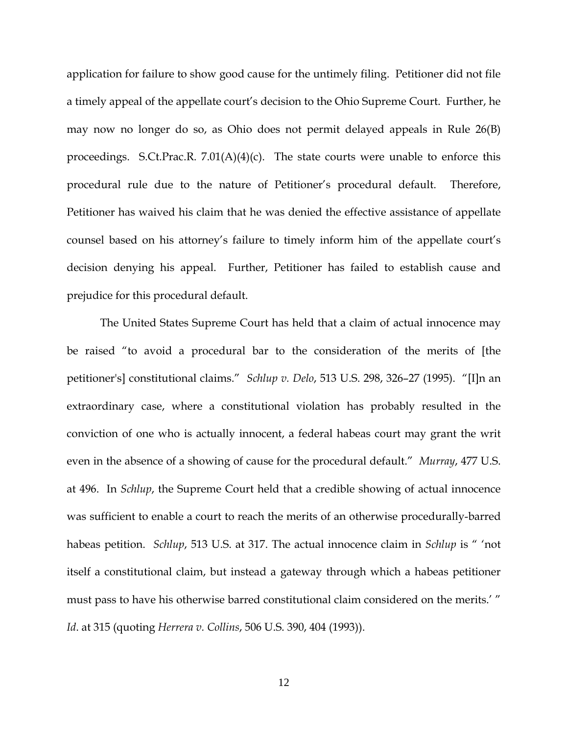application for failure to show good cause for the untimely filing. Petitioner did not file a timely appeal of the appellate court's decision to the Ohio Supreme Court. Further, he may now no longer do so, as Ohio does not permit delayed appeals in Rule 26(B) proceedings. S.Ct.Prac.R.  $7.01(A)(4)(c)$ . The state courts were unable to enforce this procedural rule due to the nature of Petitioner's procedural default. Therefore, Petitioner has waived his claim that he was denied the effective assistance of appellate counsel based on his attorney's failure to timely inform him of the appellate court's decision denying his appeal. Further, Petitioner has failed to establish cause and prejudice for this procedural default.

The United States Supreme Court has held that a claim of actual innocence may be raised "to avoid a procedural bar to the consideration of the merits of [the petitioner's] constitutional claims." *Schlup v. Delo*, 513 U.S. 298, 326–27 (1995). "[I]n an extraordinary case, where a constitutional violation has probably resulted in the conviction of one who is actually innocent, a federal habeas court may grant the writ even in the absence of a showing of cause for the procedural default." *Murray*, 477 U.S. at 496. In *Schlup*, the Supreme Court held that a credible showing of actual innocence was sufficient to enable a court to reach the merits of an otherwise procedurally-barred habeas petition. *Schlup*, 513 U.S. at 317. The actual innocence claim in *Schlup* is " 'not itself a constitutional claim, but instead a gateway through which a habeas petitioner must pass to have his otherwise barred constitutional claim considered on the merits.' " *Id*. at 315 (quoting *Herrera v. Collins*, 506 U.S. 390, 404 (1993)).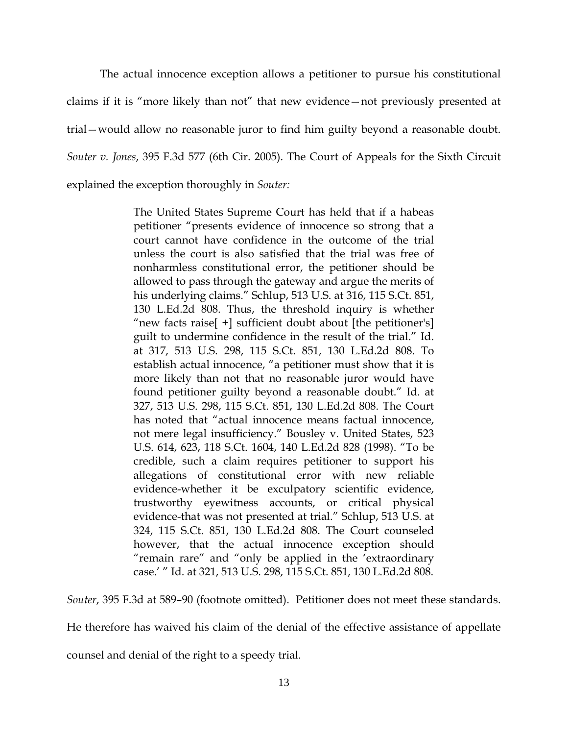The actual innocence exception allows a petitioner to pursue his constitutional claims if it is "more likely than not" that new evidence—not previously presented at trial—would allow no reasonable juror to find him guilty beyond a reasonable doubt. *Souter v. Jones*, 395 F.3d 577 (6th Cir. 2005). The Court of Appeals for the Sixth Circuit explained the exception thoroughly in *Souter:*

> The United States Supreme Court has held that if a habeas petitioner "presents evidence of innocence so strong that a court cannot have confidence in the outcome of the trial unless the court is also satisfied that the trial was free of nonharmless constitutional error, the petitioner should be allowed to pass through the gateway and argue the merits of his underlying claims." Schlup, 513 U.S. at 316, 115 S.Ct. 851, 130 L.Ed.2d 808. Thus, the threshold inquiry is whether "new facts raise[ +] sufficient doubt about [the petitioner's] guilt to undermine confidence in the result of the trial." Id. at 317, 513 U.S. 298, 115 S.Ct. 851, 130 L.Ed.2d 808. To establish actual innocence, "a petitioner must show that it is more likely than not that no reasonable juror would have found petitioner guilty beyond a reasonable doubt." Id. at 327, 513 U.S. 298, 115 S.Ct. 851, 130 L.Ed.2d 808. The Court has noted that "actual innocence means factual innocence, not mere legal insufficiency." Bousley v. United States, 523 U.S. 614, 623, 118 S.Ct. 1604, 140 L.Ed.2d 828 (1998). "To be credible, such a claim requires petitioner to support his allegations of constitutional error with new reliable evidence-whether it be exculpatory scientific evidence, trustworthy eyewitness accounts, or critical physical evidence-that was not presented at trial." Schlup, 513 U.S. at 324, 115 S.Ct. 851, 130 L.Ed.2d 808. The Court counseled however, that the actual innocence exception should "remain rare" and "only be applied in the 'extraordinary case.' " Id. at 321, 513 U.S. 298, 115 S.Ct. 851, 130 L.Ed.2d 808.

*Souter*, 395 F.3d at 589–90 (footnote omitted). Petitioner does not meet these standards.

He therefore has waived his claim of the denial of the effective assistance of appellate

counsel and denial of the right to a speedy trial.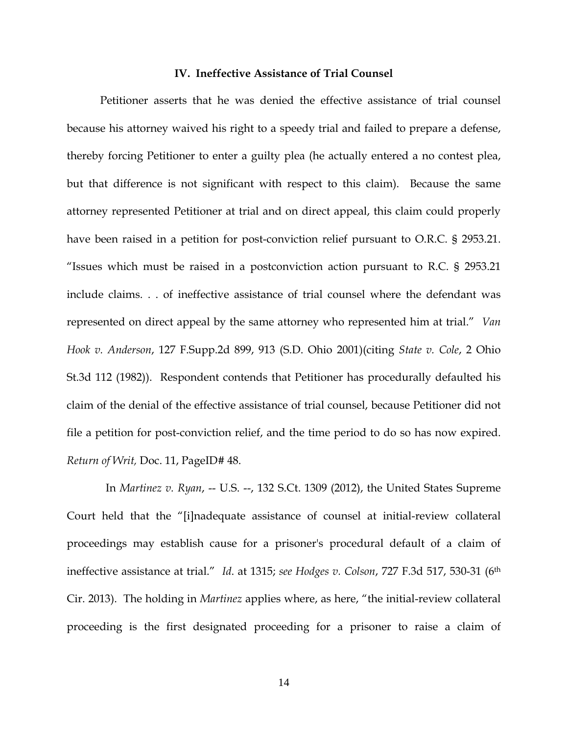#### **IV. Ineffective Assistance of Trial Counsel**

Petitioner asserts that he was denied the effective assistance of trial counsel because his attorney waived his right to a speedy trial and failed to prepare a defense, thereby forcing Petitioner to enter a guilty plea (he actually entered a no contest plea, but that difference is not significant with respect to this claim). Because the same attorney represented Petitioner at trial and on direct appeal, this claim could properly have been raised in a petition for post-conviction relief pursuant to O.R.C. § 2953.21. "Issues which must be raised in a postconviction action pursuant to R.C. § 2953.21 include claims. . . of ineffective assistance of trial counsel where the defendant was represented on direct appeal by the same attorney who represented him at trial." *Van Hook v. Anderson*, 127 F.Supp.2d 899, 913 (S.D. Ohio 2001)(citing *State v. Cole*, 2 Ohio St.3d 112 (1982)). Respondent contends that Petitioner has procedurally defaulted his claim of the denial of the effective assistance of trial counsel, because Petitioner did not file a petition for post-conviction relief, and the time period to do so has now expired. *Return of Writ,* Doc. 11, PageID# 48.

 In *Martinez v. Ryan*, -- U.S. --, 132 S.Ct. 1309 (2012), the United States Supreme Court held that the "[i]nadequate assistance of counsel at initial-review collateral proceedings may establish cause for a prisoner's procedural default of a claim of ineffective assistance at trial." *Id*. at 1315; *see Hodges v. Colson*, 727 F.3d 517, 530-31 (6th Cir. 2013). The holding in *Martinez* applies where, as here, "the initial-review collateral proceeding is the first designated proceeding for a prisoner to raise a claim of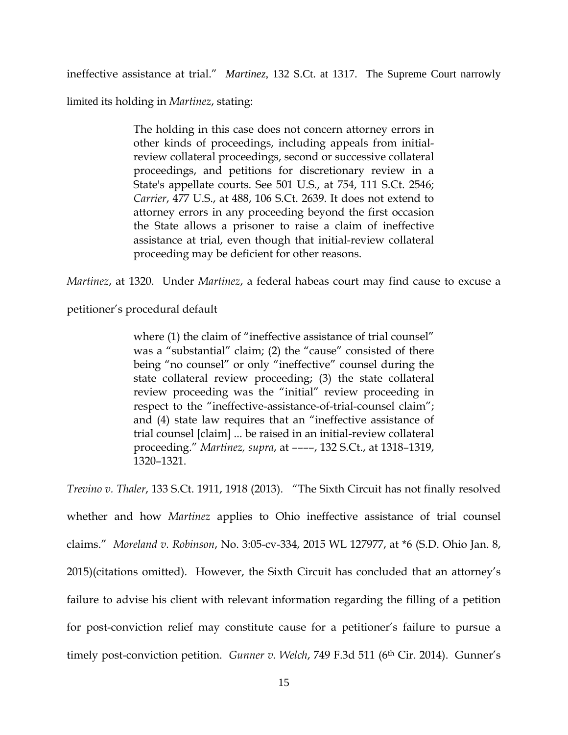ineffective assistance at trial." *Martinez,* 132 S.Ct. at 1317. The Supreme Court narrowly

limited its holding in *Martinez*, stating:

The holding in this case does not concern attorney errors in other kinds of proceedings, including appeals from initialreview collateral proceedings, second or successive collateral proceedings, and petitions for discretionary review in a State's appellate courts. See 501 U.S., at 754, 111 S.Ct. 2546; *Carrier*, 477 U.S., at 488, 106 S.Ct. 2639. It does not extend to attorney errors in any proceeding beyond the first occasion the State allows a prisoner to raise a claim of ineffective assistance at trial, even though that initial-review collateral proceeding may be deficient for other reasons.

*Martinez*, at 1320. Under *Martinez*, a federal habeas court may find cause to excuse a

petitioner's procedural default

where (1) the claim of "ineffective assistance of trial counsel" was a "substantial" claim; (2) the "cause" consisted of there being "no counsel" or only "ineffective" counsel during the state collateral review proceeding; (3) the state collateral review proceeding was the "initial" review proceeding in respect to the "ineffective-assistance-of-trial-counsel claim"; and (4) state law requires that an "ineffective assistance of trial counsel [claim] ... be raised in an initial-review collateral proceeding." *Martinez, supra*, at ––––, 132 S.Ct., at 1318–1319, 1320–1321.

*Trevino v. Thaler*, 133 S.Ct. 1911, 1918 (2013). "The Sixth Circuit has not finally resolved whether and how *Martinez* applies to Ohio ineffective assistance of trial counsel claims." *Moreland v. Robinson*, No. 3:05-cv-334, 2015 WL 127977, at \*6 (S.D. Ohio Jan. 8, 2015)(citations omitted). However, the Sixth Circuit has concluded that an attorney's failure to advise his client with relevant information regarding the filling of a petition for post-conviction relief may constitute cause for a petitioner's failure to pursue a timely post-conviction petition. *Gunner v. Welch*, 749 F.3d 511 (6<sup>th</sup> Cir. 2014). *Gunner's*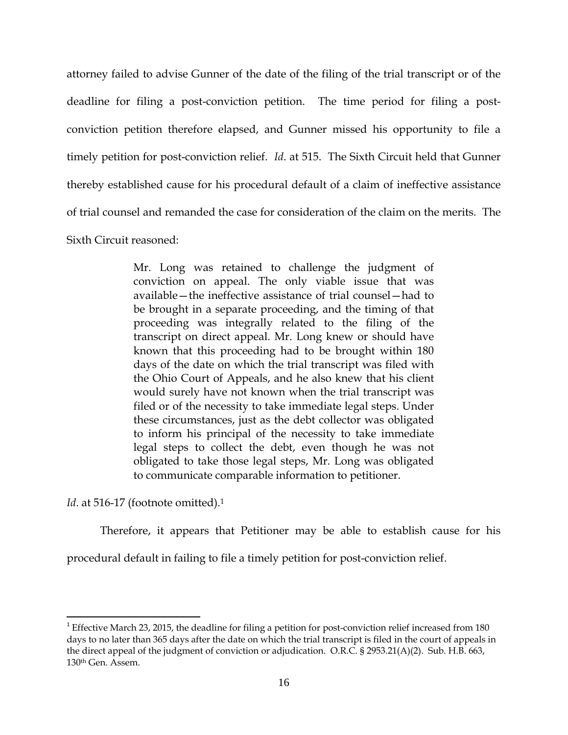attorney failed to advise Gunner of the date of the filing of the trial transcript or of the deadline for filing a post-conviction petition. The time period for filing a postconviction petition therefore elapsed, and Gunner missed his opportunity to file a timely petition for post-conviction relief. *Id*. at 515. The Sixth Circuit held that Gunner thereby established cause for his procedural default of a claim of ineffective assistance of trial counsel and remanded the case for consideration of the claim on the merits. The Sixth Circuit reasoned:

> Mr. Long was retained to challenge the judgment of conviction on appeal. The only viable issue that was available—the ineffective assistance of trial counsel—had to be brought in a separate proceeding, and the timing of that proceeding was integrally related to the filing of the transcript on direct appeal. Mr. Long knew or should have known that this proceeding had to be brought within 180 days of the date on which the trial transcript was filed with the Ohio Court of Appeals, and he also knew that his client would surely have not known when the trial transcript was filed or of the necessity to take immediate legal steps. Under these circumstances, just as the debt collector was obligated to inform his principal of the necessity to take immediate legal steps to collect the debt, even though he was not obligated to take those legal steps, Mr. Long was obligated to communicate comparable information to petitioner.

*Id*. at 516-17 (footnote omitted).<sup>1</sup>

 $\overline{a}$ 

Therefore, it appears that Petitioner may be able to establish cause for his

procedural default in failing to file a timely petition for post-conviction relief.

 $1$  Effective March 23, 2015, the deadline for filing a petition for post-conviction relief increased from 180 days to no later than 365 days after the date on which the trial transcript is filed in the court of appeals in the direct appeal of the judgment of conviction or adjudication. O.R.C. § 2953.21(A)(2). Sub. H.B. 663, 130th Gen. Assem.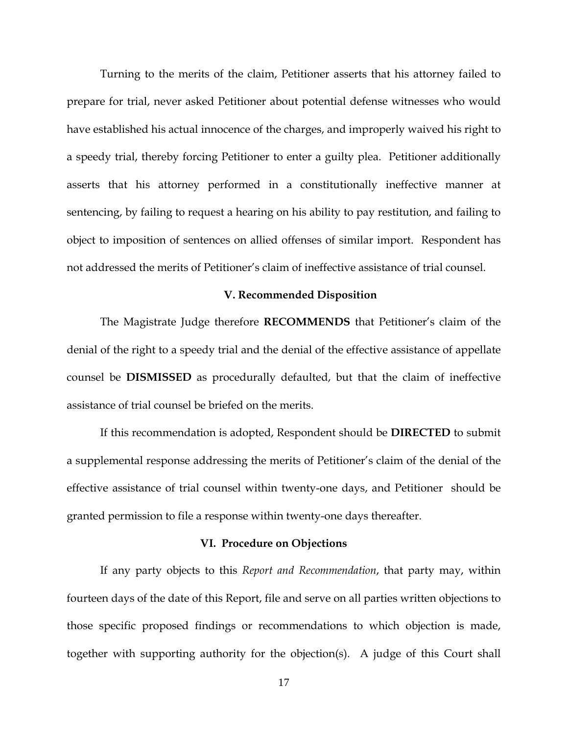Turning to the merits of the claim, Petitioner asserts that his attorney failed to prepare for trial, never asked Petitioner about potential defense witnesses who would have established his actual innocence of the charges, and improperly waived his right to a speedy trial, thereby forcing Petitioner to enter a guilty plea. Petitioner additionally asserts that his attorney performed in a constitutionally ineffective manner at sentencing, by failing to request a hearing on his ability to pay restitution, and failing to object to imposition of sentences on allied offenses of similar import. Respondent has not addressed the merits of Petitioner's claim of ineffective assistance of trial counsel.

## **V. Recommended Disposition**

The Magistrate Judge therefore **RECOMMENDS** that Petitioner's claim of the denial of the right to a speedy trial and the denial of the effective assistance of appellate counsel be **DISMISSED** as procedurally defaulted, but that the claim of ineffective assistance of trial counsel be briefed on the merits.

If this recommendation is adopted, Respondent should be **DIRECTED** to submit a supplemental response addressing the merits of Petitioner's claim of the denial of the effective assistance of trial counsel within twenty-one days, and Petitioner should be granted permission to file a response within twenty-one days thereafter.

#### **VI. Procedure on Objections**

If any party objects to this *Report and Recommendation*, that party may, within fourteen days of the date of this Report, file and serve on all parties written objections to those specific proposed findings or recommendations to which objection is made, together with supporting authority for the objection(s). A judge of this Court shall